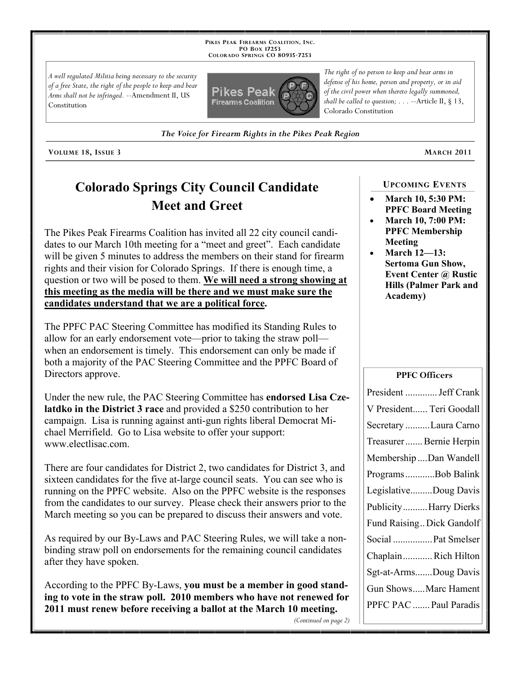**PIKES PEAK FIREARMS COALITION, INC. PO BOX 17253 COLORADO SPRINGS CO 80935 -7253**

*A well regulated Militia being necessary to the security of a free State, the right of the people to keep and bear Arms shall not be infringed.* --Amendment II, US Constitution



*defense of his home, person and property, or in aid of the civil power when thereto legally summoned, shall be called to question; . . .* --Article II, § 13, Colorado Constitution

*The right of no person to keep and bear arms in* 

*The Voice for Firearm Rights in the Pikes Peak Region*

**VOLUME 18, ISSUE 3 MARCH 2011**

# **Colorado Springs City Council Candidate Meet and Greet**

The Pikes Peak Firearms Coalition has invited all 22 city council candidates to our March 10th meeting for a "meet and greet". Each candidate will be given 5 minutes to address the members on their stand for firearm rights and their vision for Colorado Springs. If there is enough time, a question or two will be posed to them. **We will need a strong showing at this meeting as the media will be there and we must make sure the candidates understand that we are a political force.**

The PPFC PAC Steering Committee has modified its Standing Rules to allow for an early endorsement vote—prior to taking the straw poll when an endorsement is timely. This endorsement can only be made if both a majority of the PAC Steering Committee and the PPFC Board of Directors approve.

Under the new rule, the PAC Steering Committee has **endorsed Lisa Czelatdko in the District 3 race** and provided a \$250 contribution to her campaign. Lisa is running against anti-gun rights liberal Democrat Michael Merrifield. Go to Lisa website to offer your support: www.electlisac.com.

There are four candidates for District 2, two candidates for District 3, and sixteen candidates for the five at-large council seats. You can see who is running on the PPFC website. Also on the PPFC website is the responses from the candidates to our survey. Please check their answers prior to the March meeting so you can be prepared to discuss their answers and vote.

As required by our By-Laws and PAC Steering Rules, we will take a nonbinding straw poll on endorsements for the remaining council candidates after they have spoken.

According to the PPFC By-Laws, **you must be a member in good standing to vote in the straw poll. 2010 members who have not renewed for 2011 must renew before receiving a ballot at the March 10 meeting.**

### **UPCOMING EVENTS**

- **March 10, 5:30 PM: PPFC Board Meeting**
- **March 10, 7:00 PM: PPFC Membership Meeting**
- **March 12—13: Sertoma Gun Show, Event Center @ Rustic Hills (Palmer Park and Academy)**

#### **PPFC Officers**

| President  Jeff Crank         |
|-------------------------------|
| V President Teri Goodall      |
| Secretary Laura Carno         |
| Treasurer Bernie Herpin       |
| Membership Dan Wandell        |
| ProgramsBob Balink            |
| LegislativeDoug Davis         |
| <b>Publicity Harry Dierks</b> |
| Fund Raising Dick Gandolf     |
| Social  Pat Smelser           |
| ChaplainRich Hilton           |
| Sgt-at-ArmsDoug Davis         |
| Gun ShowsMarc Hament          |
| PPFC PAC  Paul Paradis        |
|                               |

*(Continued on page 2)*